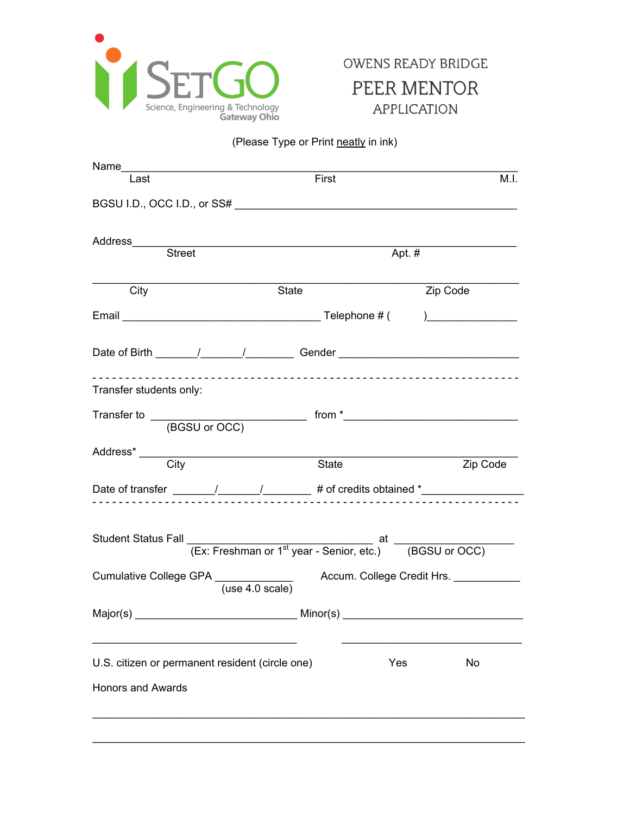

## (Please Type or Print neatly in ink)

| Last                                            | First                                                                            | M.I.      |
|-------------------------------------------------|----------------------------------------------------------------------------------|-----------|
|                                                 |                                                                                  |           |
|                                                 |                                                                                  |           |
|                                                 |                                                                                  | Apt. $#$  |
|                                                 |                                                                                  |           |
| City                                            | State                                                                            | Zip Code  |
|                                                 |                                                                                  |           |
|                                                 |                                                                                  |           |
| Transfer students only:                         |                                                                                  |           |
|                                                 |                                                                                  |           |
|                                                 |                                                                                  |           |
|                                                 | State                                                                            | Zip Code  |
|                                                 | Date of transfer _______/_______/________ # of credits obtained *_______________ |           |
|                                                 |                                                                                  |           |
|                                                 |                                                                                  |           |
|                                                 | (use 4.0 scale)                                                                  |           |
|                                                 |                                                                                  |           |
| U.S. citizen or permanent resident (circle one) |                                                                                  | Yes<br>No |
|                                                 |                                                                                  |           |
| <b>Honors and Awards</b>                        |                                                                                  |           |
|                                                 |                                                                                  |           |
|                                                 |                                                                                  |           |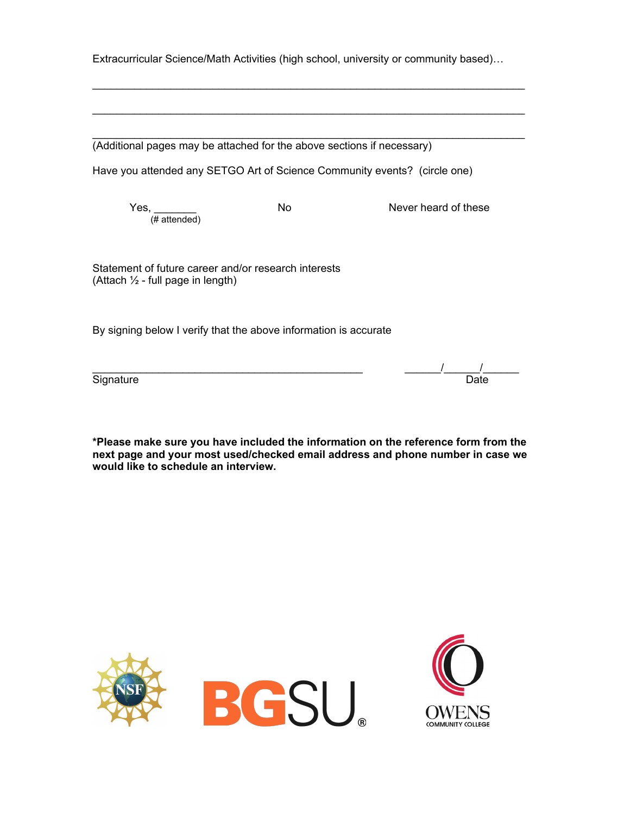Extracurricular Science/Math Activities (high school, university or community based)…

\_\_\_\_\_\_\_\_\_\_\_\_\_\_\_\_\_\_\_\_\_\_\_\_\_\_\_\_\_\_\_\_\_\_\_\_\_\_\_\_\_\_\_\_\_\_\_\_\_\_\_\_\_\_\_\_\_\_\_\_\_\_\_\_\_\_\_\_\_\_\_\_

 $\mathcal{L}_\text{max}$  , and the contribution of the contribution of the contribution of the contribution of the contribution of the contribution of the contribution of the contribution of the contribution of the contribution of t

\_\_\_\_\_\_\_\_\_\_\_\_\_\_\_\_\_\_\_\_\_\_\_\_\_\_\_\_\_\_\_\_\_\_\_\_\_\_\_\_\_\_\_\_\_\_\_\_\_\_\_\_\_\_\_\_\_\_\_\_\_\_\_\_\_\_\_\_\_\_\_\_ (Additional pages may be attached for the above sections if necessary)

Have you attended any SETGO Art of Science Community events? (circle one)

 $Yes,$ <sub>(# attended)</sub>

No Never heard of these

Statement of future career and/or research interests (Attach  $\frac{1}{2}$  - full page in length)

By signing below I verify that the above information is accurate

\_\_\_\_\_\_\_\_\_\_\_\_\_\_\_\_\_\_\_\_\_\_\_\_\_\_\_\_\_\_\_\_\_\_\_\_\_\_\_\_\_\_\_\_\_ \_\_\_\_\_\_/\_\_\_\_\_\_/\_\_\_\_\_\_ Signature Date

**\*Please make sure you have included the information on the reference form from the next page and your most used/checked email address and phone number in case we would like to schedule an interview.**